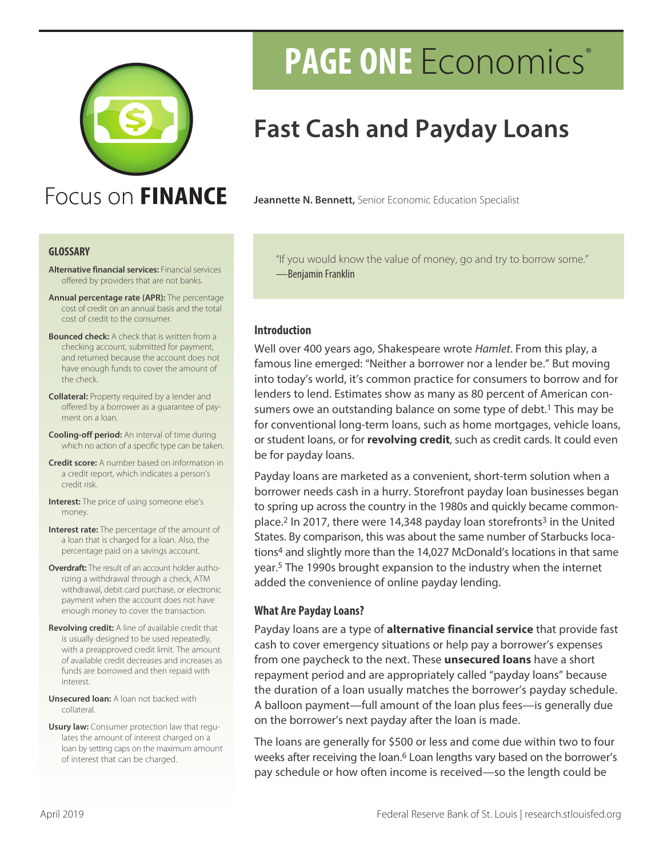

## Focus on FINANCE

#### **GLOSSARY**

- **Alternative financial services:** Financial services offered by providers that are not banks.
- **Annual percentage rate (APR):** The percentage cost of credit on an annual basis and the total cost of credit to the consumer.
- **Bounced check:** A check that is written from a checking account, submitted for payment, and returned because the account does not have enough funds to cover the amount of the check.
- **Collateral:** Property required by a lender and offered by a borrower as a guarantee of payment on a loan.
- **Cooling-off period:** An interval of time during which no action of a specific type can be taken.
- **Credit score:** A number based on information in a credit report, which indicates a person's credit risk.
- **Interest:** The price of using someone else's money.
- **Interest rate:** The percentage of the amount of a loan that is charged for a loan. Also, the percentage paid on a savings account.
- **Overdraft:** The result of an account holder authorizing a withdrawal through a check, ATM withdrawal, debit card purchase, or electronic payment when the account does not have enough money to cover the transaction.
- **Revolving credit:** A line of available credit that is usually designed to be used repeatedly, with a preapproved credit limit. The amount of available credit decreases and increases as funds are borrowed and then repaid with interest.
- **Unsecured loan:** A loan not backed with collateral.
- **Usury law:** Consumer protection law that regulates the amount of interest charged on a loan by setting caps on the maximum amount of interest that can be charged.

# **PAGE ONE** Economics®

## **Fast Cash and Payday Loans**

**Jeannette N. Bennett,** Senior Economic Education Specialist

"If you would know the value of money, go and try to borrow some." —Benjamin Franklin

#### **Introduction**

Well over 400 years ago, Shakespeare wrote *Hamlet*. From this play, a famous line emerged: "Neither a borrower nor a lender be." But moving into today's world, it's common practice for consumers to borrow and for lenders to lend. Estimates show as many as 80 percent of American consumers owe an outstanding balance on some type of debt.<sup>1</sup> This may be for conventional long-term loans, such as home mortgages, vehicle loans, or student loans, or for **revolving credit**, such as credit cards. It could even be for payday loans.

Payday loans are marketed as a convenient, short-term solution when a borrower needs cash in a hurry. Storefront payday loan businesses began to spring up across the country in the 1980s and quickly became commonplace.<sup>2</sup> In 2017, there were 14,348 payday loan storefronts<sup>3</sup> in the United States. By comparison, this was about the same number of Starbucks locations4 and slightly more than the 14,027 McDonald's locations in that same year.5 The 1990s brought expansion to the industry when the internet added the convenience of online payday lending.

#### **What Are Payday Loans?**

Payday loans are a type of **alternative financial service** that provide fast cash to cover emergency situations or help pay a borrower's expenses from one paycheck to the next. These **unsecured loans** have a short repayment period and are appropriately called "payday loans" because the duration of a loan usually matches the borrower's payday schedule. A balloon payment—full amount of the loan plus fees—is generally due on the borrower's next payday after the loan is made.

The loans are generally for \$500 or less and come due within two to four weeks after receiving the loan.<sup>6</sup> Loan lengths vary based on the borrower's pay schedule or how often income is received—so the length could be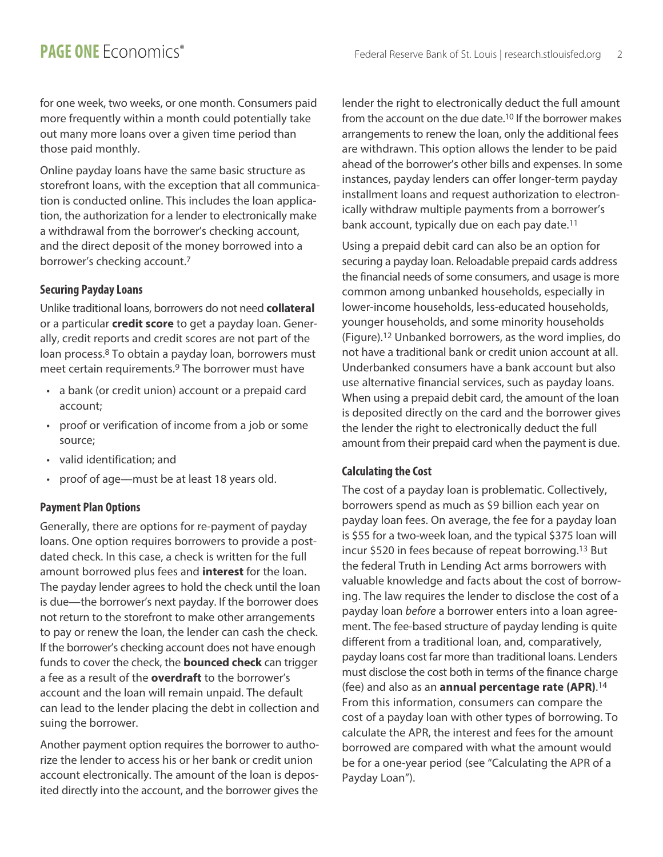for one week, two weeks, or one month. Consumers paid more frequently within a month could potentially take out many more loans over a given time period than those paid monthly.

Online payday loans have the same basic structure as storefront loans, with the exception that all communication is conducted online. This includes the loan application, the authorization for a lender to electronically make a withdrawal from the borrower's checking account, and the direct deposit of the money borrowed into a borrower's checking account.7

### **Securing Payday Loans**

Unlike traditional loans, borrowers do not need **collateral** or a particular **credit score** to get a payday loan. Generally, credit reports and credit scores are not part of the loan process.8 To obtain a payday loan, borrowers must meet certain requirements.9 The borrower must have

- a bank (or credit union) account or a prepaid card account;
- proof or verification of income from a job or some source;
- valid identification; and
- proof of age—must be at least 18 years old.

### **Payment Plan Options**

Generally, there are options for re-payment of payday loans. One option requires borrowers to provide a postdated check. In this case, a check is written for the full amount borrowed plus fees and **interest** for the loan. The payday lender agrees to hold the check until the loan is due—the borrower's next payday. If the borrower does not return to the storefront to make other arrangements to pay or renew the loan, the lender can cash the check. If the borrower's checking account does not have enough funds to cover the check, the **bounced check** can trigger a fee as a result of the **overdraft** to the borrower's account and the loan will remain unpaid. The default can lead to the lender placing the debt in collection and suing the borrower.

Another payment option requires the borrower to authorize the lender to access his or her bank or credit union account electronically. The amount of the loan is deposited directly into the account, and the borrower gives the

lender the right to electronically deduct the full amount from the account on the due date.10 If the borrower makes arrangements to renew the loan, only the additional fees are withdrawn. This option allows the lender to be paid ahead of the borrower's other bills and expenses. In some instances, payday lenders can offer longer-term payday installment loans and request authorization to electronically withdraw multiple payments from a borrower's bank account, typically due on each pay date.11

Using a prepaid debit card can also be an option for securing a payday loan. Reloadable prepaid cards address the financial needs of some consumers, and usage is more common among unbanked households, especially in lower-income households, less-educated households, younger households, and some minority households (Figure).12 Unbanked borrowers, as the word implies, do not have a traditional bank or credit union account at all. Underbanked consumers have a bank account but also use alternative financial services, such as payday loans. When using a prepaid debit card, the amount of the loan is deposited directly on the card and the borrower gives the lender the right to electronically deduct the full amount from their prepaid card when the payment is due.

### **Calculating the Cost**

The cost of a payday loan is problematic. Collectively, borrowers spend as much as \$9 billion each year on payday loan fees. On average, the fee for a payday loan is \$55 for a two-week loan, and the typical \$375 loan will incur \$520 in fees because of repeat borrowing.13 But the federal Truth in Lending Act arms borrowers with valuable knowledge and facts about the cost of borrowing. The law requires the lender to disclose the cost of a payday loan *before* a borrower enters into a loan agreement. The fee-based structure of payday lending is quite different from a traditional loan, and, comparatively, payday loans cost far more than traditional loans. Lenders must disclose the cost both in terms of the finance charge (fee) and also as an **annual percentage rate (APR)**. 14 From this information, consumers can compare the cost of a payday loan with other types of borrowing. To calculate the APR, the interest and fees for the amount borrowed are compared with what the amount would be for a one-year period (see "Calculating the APR of a Payday Loan").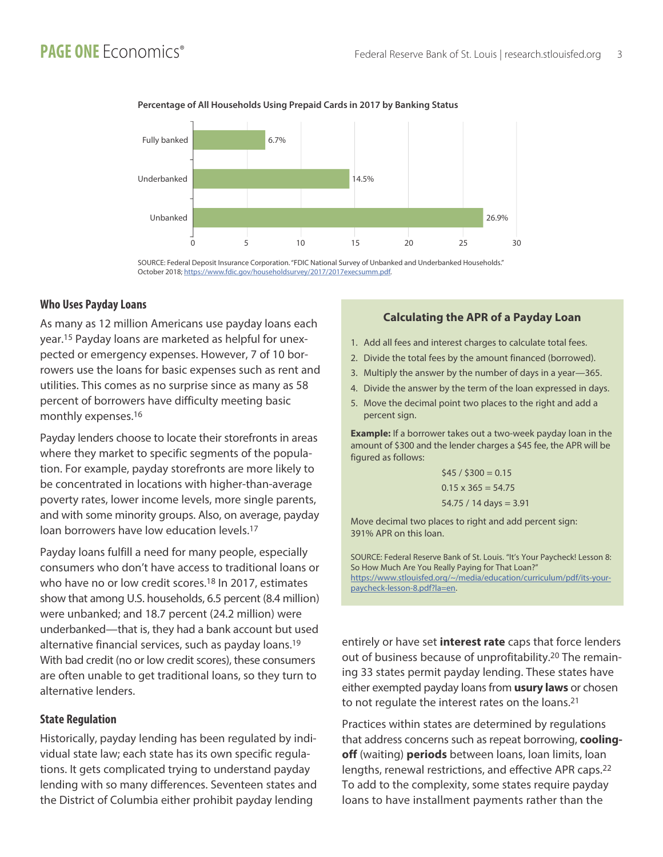

#### **Percentage of All Households Using Prepaid Cards in 2017 by Banking Status**

SOURCE: Federal Deposit Insurance Corporation. "FDIC National Survey of Unbanked and Underbanked Households." October 2018; https://www.fdic.gov/householdsurvey/2017/2017execsumm.pdf.

#### **Who Uses Payday Loans**

As many as 12 million Americans use payday loans each year.15 Payday loans are marketed as helpful for unexpected or emergency expenses. However, 7 of 10 borrowers use the loans for basic expenses such as rent and utilities. This comes as no surprise since as many as 58 percent of borrowers have difficulty meeting basic monthly expenses.16

Payday lenders choose to locate their storefronts in areas where they market to specific segments of the population. For example, payday storefronts are more likely to be concentrated in locations with higher-than-average poverty rates, lower income levels, more single parents, and with some minority groups. Also, on average, payday loan borrowers have low education levels.17

Payday loans fulfill a need for many people, especially consumers who don't have access to traditional loans or who have no or low credit scores.<sup>18</sup> In 2017, estimates show that among U.S. households, 6.5 percent (8.4 million) were unbanked; and 18.7 percent (24.2 million) were underbanked—that is, they had a bank account but used alternative financial services, such as payday loans.19 With bad credit (no or low credit scores), these consumers are often unable to get traditional loans, so they turn to alternative lenders.

#### **State Regulation**

Historically, payday lending has been regulated by individual state law; each state has its own specific regulations. It gets complicated trying to understand payday lending with so many differences. Seventeen states and the District of Columbia either prohibit payday lending

#### **Calculating the APR of a Payday Loan**

- 1. Add all fees and interest charges to calculate total fees.
- 2. Divide the total fees by the amount financed (borrowed).
- 3. Multiply the answer by the number of days in a year—365.
- 4. Divide the answer by the term of the loan expressed in days.
- 5. Move the decimal point two places to the right and add a percent sign.

**Example:** If a borrower takes out a two-week payday loan in the amount of \$300 and the lender charges a \$45 fee, the APR will be figured as follows:

$$
$45 / $300 = 0.15
$$
  
0.15 x 365 = 54.75  
54.75 / 14 days = 3.91

Move decimal two places to right and add percent sign: 391% APR on this loan.

SOURCE: Federal Reserve Bank of St. Louis. "It's Your Paycheck! Lesson 8: So How Much Are You Really Paying for That Loan?" [https://www.stlouisfed.org/~/media/education/curriculum/pdf/its-your](https://www.stlouisfed.org/~/media/education/curriculum/pdf/its-your-paycheck-lesson-8.pdf?la=en)[paycheck-lesson-8.pdf?la=en.](https://www.stlouisfed.org/~/media/education/curriculum/pdf/its-your-paycheck-lesson-8.pdf?la=en)

entirely or have set **interest rate** caps that force lenders out of business because of unprofitability.20 The remaining 33 states permit payday lending. These states have either exempted payday loans from **usury laws** or chosen to not regulate the interest rates on the loans.21

Practices within states are determined by regulations that address concerns such as repeat borrowing, **coolingoff** (waiting) **periods** between loans, loan limits, loan lengths, renewal restrictions, and effective APR caps.22 To add to the complexity, some states require payday loans to have installment payments rather than the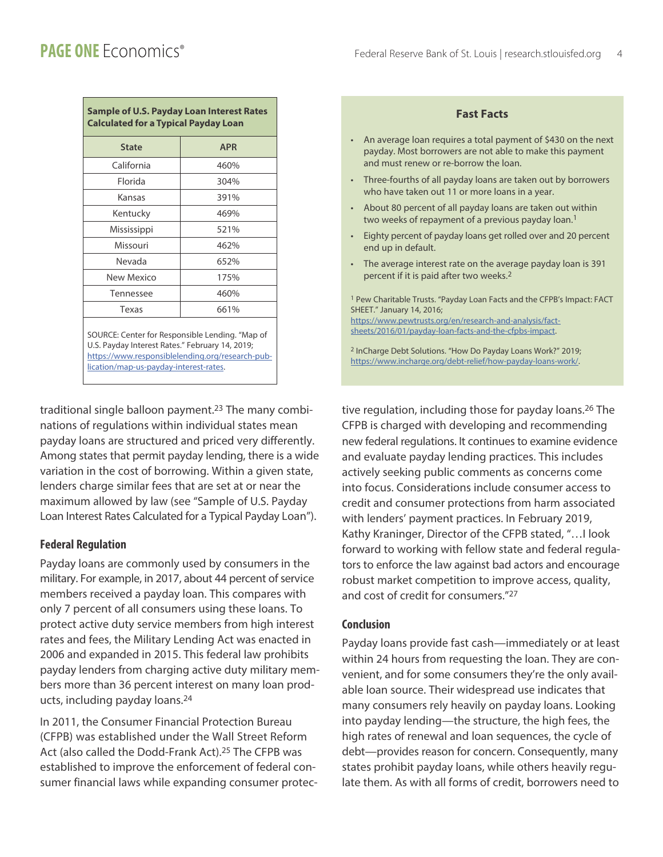**Fast Facts**

| <b>Sample of U.S. Payday Loan Interest Rates</b><br><b>Calculated for a Typical Payday Loan</b> |            |
|-------------------------------------------------------------------------------------------------|------------|
| <b>State</b>                                                                                    | <b>APR</b> |
| California                                                                                      | 460%       |
| Florida                                                                                         | 304%       |
| Kansas                                                                                          | 391%       |
| Kentucky                                                                                        | 469%       |
| Mississippi                                                                                     | 521%       |
| Missouri                                                                                        | 462%       |
| Nevada                                                                                          | 652%       |
| New Mexico                                                                                      | 175%       |
| Tennessee                                                                                       | 460%       |
| Texas                                                                                           | 661%       |
| SOURCE: Center for Responsible Lending. "Map of                                                 |            |

U.S. Payday Interest Rates." February 14, 2019; [https://www.responsiblelending.org/research-pub](https://www.responsiblelending.org/research-publication/map-us-payday-interest-rates)[lication/map-us-payday-interest-rates.](https://www.responsiblelending.org/research-publication/map-us-payday-interest-rates)

traditional single balloon payment.23 The many combinations of regulations within individual states mean payday loans are structured and priced very differently. Among states that permit payday lending, there is a wide variation in the cost of borrowing. Within a given state, lenders charge similar fees that are set at or near the maximum allowed by law (see "Sample of U.S. Payday Loan Interest Rates Calculated for a Typical Payday Loan").

### **Federal Regulation**

Payday loans are commonly used by consumers in the military. For example, in 2017, about 44 percent of service members received a payday loan. This compares with only 7 percent of all consumers using these loans. To protect active duty service members from high interest rates and fees, the Military Lending Act was enacted in 2006 and expanded in 2015. This federal law prohibits payday lenders from charging active duty military members more than 36 percent interest on many loan products, including payday loans.24

In 2011, the Consumer Financial Protection Bureau (CFPB) was established under the Wall Street Reform Act (also called the Dodd-Frank Act).25 The CFPB was established to improve the enforcement of federal consumer financial laws while expanding consumer protec-

|           | An average loan requires a total payment of \$430 on the next<br>payday. Most borrowers are not able to make this payment<br>and must renew or re-borrow the loan.                                                                    |
|-----------|---------------------------------------------------------------------------------------------------------------------------------------------------------------------------------------------------------------------------------------|
| $\bullet$ | Three-fourths of all payday loans are taken out by borrowers<br>who have taken out 11 or more loans in a year.                                                                                                                        |
|           | About 80 percent of all payday loans are taken out within<br>two weeks of repayment of a previous payday loan. <sup>1</sup>                                                                                                           |
|           | Eighty percent of payday loans get rolled over and 20 percent<br>end up in default.                                                                                                                                                   |
| $\bullet$ | The average interest rate on the average payday loan is 391<br>percent if it is paid after two weeks. <sup>2</sup>                                                                                                                    |
|           | <sup>1</sup> Pew Charitable Trusts. "Payday Loan Facts and the CFPB's Impact: FACT<br>SHEET." January 14, 2016;<br>https://www.pewtrusts.org/en/research-and-analysis/fact-<br>sheets/2016/01/payday-loan-facts-and-the-cfpbs-impact. |

2 InCharge Debt Solutions. "How Do Payday Loans Work?" 2019; <https://www.incharge.org/debt-relief/how-payday-loans-work/>.

tive regulation, including those for payday loans.26 The CFPB is charged with developing and recommending new federal regulations. It continues to examine evidence and evaluate payday lending practices. This includes actively seeking public comments as concerns come into focus. Considerations include consumer access to credit and consumer protections from harm associated with lenders' payment practices. In February 2019, Kathy Kraninger, Director of the CFPB stated, "…I look forward to working with fellow state and federal regulators to enforce the law against bad actors and encourage robust market competition to improve access, quality, and cost of credit for consumers."27

#### **Conclusion**

Payday loans provide fast cash—immediately or at least within 24 hours from requesting the loan. They are convenient, and for some consumers they're the only available loan source. Their widespread use indicates that many consumers rely heavily on payday loans. Looking into payday lending—the structure, the high fees, the high rates of renewal and loan sequences, the cycle of debt—provides reason for concern. Consequently, many states prohibit payday loans, while others heavily regulate them. As with all forms of credit, borrowers need to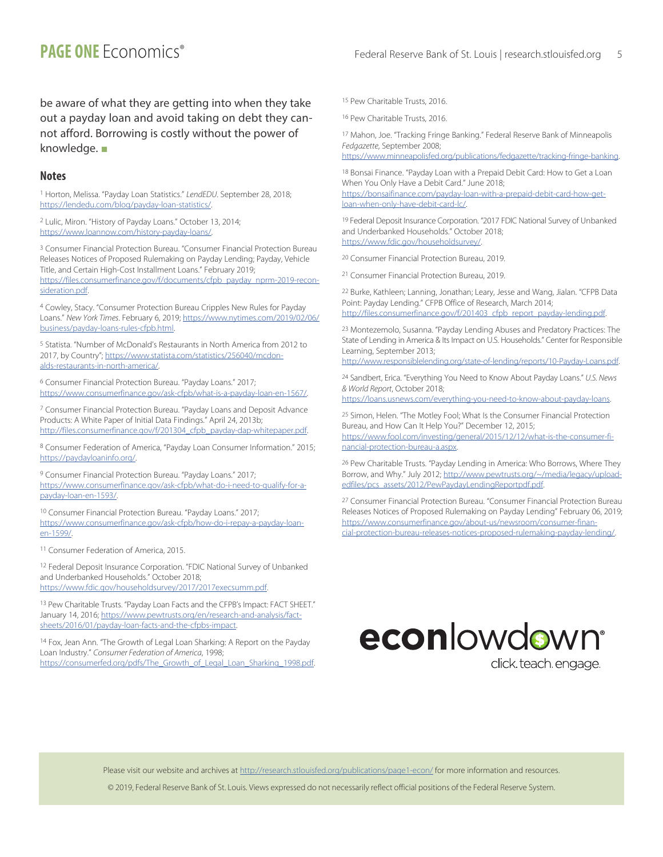be aware of what they are getting into when they take out a payday loan and avoid taking on debt they cannot afford. Borrowing is costly without the power of knowledge.  $\blacksquare$ 

#### **Notes**

1 Horton, Melissa. "Payday Loan Statistics." *LendEDU*. September 28, 2018; [https://lendedu.com/blog/payday-loan-statistics/.](https://lendedu.com/blog/payday-loan-statistics/)

2 Lulic, Miron. "History of Payday Loans." October 13, 2014; <https://www.loannow.com/history-payday-loans/>.

3 Consumer Financial Protection Bureau. "Consumer Financial Protection Bureau Releases Notices of Proposed Rulemaking on Payday Lending; Payday, Vehicle Title, and Certain High-Cost Installment Loans." February 2019;

[https://files.consumerfinance.gov/f/documents/cfpb\\_payday\\_nprm-2019-recon](https://files.consumerfinance.gov/f/documents/cfpb_payday_nprm-2019-reconsideration.pdf)[sideration.pdf.](https://files.consumerfinance.gov/f/documents/cfpb_payday_nprm-2019-reconsideration.pdf)

4 Cowley, Stacy. "Consumer Protection Bureau Cripples New Rules for Payday Loans." *New York Times*. February 6, 2019; [https://www.nytimes.com/2019/02/06/](https://www.nytimes.com/2019/02/06/business/payday-loans-rules-cfpb.html) [business/payday-loans-rules-cfpb.html](https://www.nytimes.com/2019/02/06/business/payday-loans-rules-cfpb.html).

5 Statista. "Number of McDonald's Restaurants in North America from 2012 to 2017, by Country"; [https://www.statista.com/statistics/256040/mcdon](https://www.statista.com/statistics/256040/mcdonalds-restaurants-in-north-america/)[alds-restaurants-in-north-america/](https://www.statista.com/statistics/256040/mcdonalds-restaurants-in-north-america/).

6 Consumer Financial Protection Bureau. "Payday Loans." 2017; <https://www.consumerfinance.gov/ask-cfpb/what-is-a-payday-loan-en-1567/>.

7 Consumer Financial Protection Bureau. "Payday Loans and Deposit Advance Products: A White Paper of Initial Data Findings." April 24, 2013b; [http://files.consumerfinance.gov/f/201304\\_cfpb\\_payday-dap-whitepaper.pdf](http://files.consumerfinance.gov/f/201304_cfpb_payday-dap-whitepaper.pdf).

8 Consumer Federation of America, "Payday Loan Consumer Information." 2015; <https://paydayloaninfo.org/>.

9 Consumer Financial Protection Bureau. "Payday Loans." 2017; [https://www.consumerfinance.gov/ask-cfpb/what-do-i-need-to-qualify-for-a](https://www.consumerfinance.gov/ask-cfpb/what-do-i-need-to-qualify-for-a-payday-loan-en-1593/)[payday-loan-en-1593/.](https://www.consumerfinance.gov/ask-cfpb/what-do-i-need-to-qualify-for-a-payday-loan-en-1593/)

10 Consumer Financial Protection Bureau. "Payday Loans." 2017; [https://www.consumerfinance.gov/ask-cfpb/how-do-i-repay-a-payday-loan](https://www.consumerfinance.gov/ask-cfpb/how-do-i-repay-a-payday-loan-en-1599/)[en-1599/.](https://www.consumerfinance.gov/ask-cfpb/how-do-i-repay-a-payday-loan-en-1599/)

11 Consumer Federation of America, 2015.

12 Federal Deposit Insurance Corporation. "FDIC National Survey of Unbanked and Underbanked Households." October 2018; [https://www.fdic.gov/householdsurvey/2017/2017execsumm.pdf.](https://www.fdic.gov/householdsurvey/2017/2017execsumm.pdf)

13 Pew Charitable Trusts. "Payday Loan Facts and the CFPB's Impact: FACT SHEET." January 14, 2016; [https://www.pewtrusts.org/en/research-and-analysis/fact](https://www.pewtrusts.org/en/research-and-analysis/fact-sheets/2016/01/payday-loan-facts-and-the-cfpbs-impact)[sheets/2016/01/payday-loan-facts-and-the-cfpbs-impact](https://www.pewtrusts.org/en/research-and-analysis/fact-sheets/2016/01/payday-loan-facts-and-the-cfpbs-impact).

14 Fox, Jean Ann. "The Growth of Legal Loan Sharking: A Report on the Payday Loan Industry." *Consumer Federation of America*, 1998; [https://consumerfed.org/pdfs/The\\_Growth\\_of\\_Legal\\_Loan\\_Sharking\\_1998.pdf.](https://consumerfed.org/pdfs/The_Growth_of_Legal_Loan_Sharking_1998.pdf) 15 Pew Charitable Trusts, 2016.

16 Pew Charitable Trusts, 2016.

17 Mahon, Joe. "Tracking Fringe Banking." Federal Reserve Bank of Minneapolis *Fedgazette*, September 2008;

<https://www.minneapolisfed.org/publications/fedgazette/tracking-fringe-banking>.

18 Bonsai Finance. "Payday Loan with a Prepaid Debit Card: How to Get a Loan When You Only Have a Debit Card." June 2018; [https://bonsaifinance.com/payday-loan-with-a-prepaid-debit-card-how-get](https://bonsaifinance.com/payday-loan-with-a-prepaid-debit-card-how-get-loan-when-only-have-debit-card-lc/)[loan-when-only-have-debit-card-lc/](https://bonsaifinance.com/payday-loan-with-a-prepaid-debit-card-how-get-loan-when-only-have-debit-card-lc/).

19 Federal Deposit Insurance Corporation. "2017 FDIC National Survey of Unbanked and Underbanked Households." October 2018; <https://www.fdic.gov/householdsurvey/>.

20 Consumer Financial Protection Bureau, 2019.

21 Consumer Financial Protection Bureau, 2019.

22 Burke, Kathleen; Lanning, Jonathan; Leary, Jesse and Wang, Jialan. "CFPB Data Point: Payday Lending." CFPB Office of Research, March 2014; [http://files.consumerfinance.gov/f/201403\\_cfpb\\_report\\_payday-lending.pdf](http://files.consumerfinance.gov/f/201403_cfpb_report_payday-lending.pdf).

23 Montezemolo, Susanna. "Payday Lending Abuses and Predatory Practices: The State of Lending in America & Its Impact on U.S. Households." Center for Responsible Learning, September 2013;

<http://www.responsiblelending.org/state-of-lending/reports/10-Payday-Loans.pdf>.

24 Sandbert, Erica. "Everything You Need to Know About Payday Loans." *U.S. News & World Report*, October 2018;

<https://loans.usnews.com/everything-you-need-to-know-about-payday-loans>.

25 Simon, Helen. "The Motley Fool; What Is the Consumer Financial Protection Bureau, and How Can It Help You?" December 12, 2015; [https://www.fool.com/investing/general/2015/12/12/what-is-the-consumer-fi](https://www.fool.com/investing/general/2015/12/12/what-is-the-consumer-financial-protection-bureau-a.aspx)[nancial-protection-bureau-a.aspx.](https://www.fool.com/investing/general/2015/12/12/what-is-the-consumer-financial-protection-bureau-a.aspx)

26 Pew Charitable Trusts. "Payday Lending in America: Who Borrows, Where They Borrow, and Why." July 2012; [http://www.pewtrusts.org/~/media/legacy/upload](http://www.pewtrusts.org/~/media/legacy/uploadedfiles/pcs_assets/2012/PewPaydayLendingReportpdf.pdf)[edfiles/pcs\\_assets/2012/PewPaydayLendingReportpdf.pdf.](http://www.pewtrusts.org/~/media/legacy/uploadedfiles/pcs_assets/2012/PewPaydayLendingReportpdf.pdf)

27 Consumer Financial Protection Bureau. "Consumer Financial Protection Bureau Releases Notices of Proposed Rulemaking on Payday Lending" February 06, 2019; [https://www.consumerfinance.gov/about-us/newsroom/consumer-finan](https://www.consumerfinance.gov/about-us/newsroom/consumer-financial-protection-bureau-releases-notices-proposed-rulemaking-payday-lending/)[cial-protection-bureau-releases-notices-proposed-rulemaking-payday-lending/.](https://www.consumerfinance.gov/about-us/newsroom/consumer-financial-protection-bureau-releases-notices-proposed-rulemaking-payday-lending/)



Please visit our website and archives at http://research.stlouisfed.org/publications/page1-econ/ for more information and resources.

© 2019, Federal Reserve Bank of St. Louis. Views expressed do not necessarily reflect official positions of the Federal Reserve System.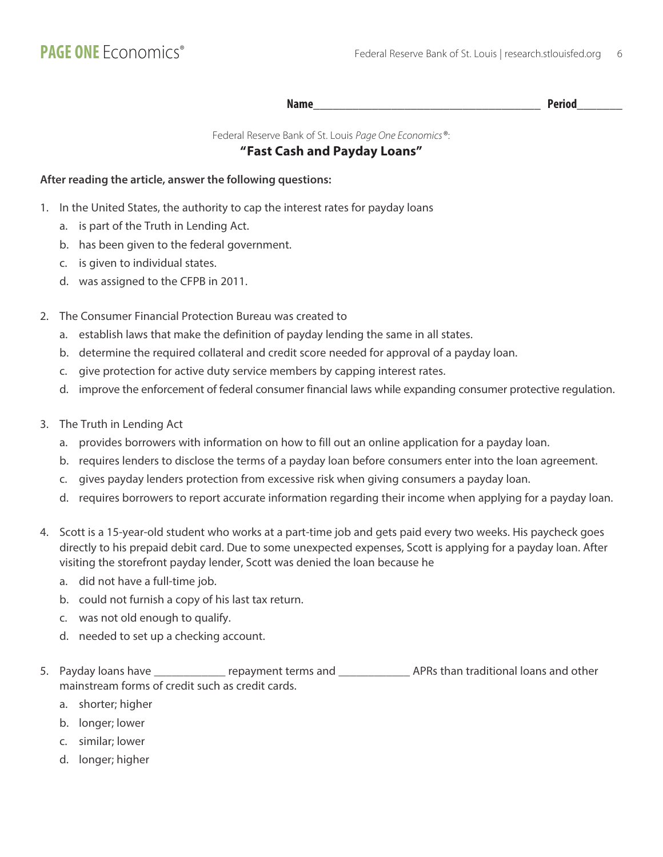**Name\_\_\_\_\_\_\_\_\_\_\_\_\_\_\_\_\_\_\_\_\_\_\_\_\_\_\_\_\_\_\_\_\_\_\_ Period\_\_\_\_\_\_\_**

Federal Reserve Bank of St. Louis *Page One Economics*®:

#### **"Fast Cash and Payday Loans"**

#### **After reading the article, answer the following questions:**

- 1. In the United States, the authority to cap the interest rates for payday loans
	- a. is part of the Truth in Lending Act.
	- b. has been given to the federal government.
	- c. is given to individual states.
	- d. was assigned to the CFPB in 2011.
- 2. The Consumer Financial Protection Bureau was created to
	- a. establish laws that make the definition of payday lending the same in all states.
	- b. determine the required collateral and credit score needed for approval of a payday loan.
	- c. give protection for active duty service members by capping interest rates.
	- d. improve the enforcement of federal consumer financial laws while expanding consumer protective regulation.
- 3. The Truth in Lending Act
	- a. provides borrowers with information on how to fill out an online application for a payday loan.
	- b. requires lenders to disclose the terms of a payday loan before consumers enter into the loan agreement.
	- c. gives payday lenders protection from excessive risk when giving consumers a payday loan.
	- d. requires borrowers to report accurate information regarding their income when applying for a payday loan.
- 4. Scott is a 15-year-old student who works at a part-time job and gets paid every two weeks. His paycheck goes directly to his prepaid debit card. Due to some unexpected expenses, Scott is applying for a payday loan. After visiting the storefront payday lender, Scott was denied the loan because he
	- a. did not have a full-time job.
	- b. could not furnish a copy of his last tax return.
	- c. was not old enough to qualify.
	- d. needed to set up a checking account.
- 5. Payday loans have \_\_\_\_\_\_\_\_\_\_\_\_\_ repayment terms and \_\_\_\_\_\_\_\_\_\_\_\_\_\_\_\_\_\_\_\_\_\_\_\_\_ APRs than traditional loans and other mainstream forms of credit such as credit cards.
	- a. shorter; higher
	- b. longer; lower
	- c. similar; lower
	- d. longer; higher